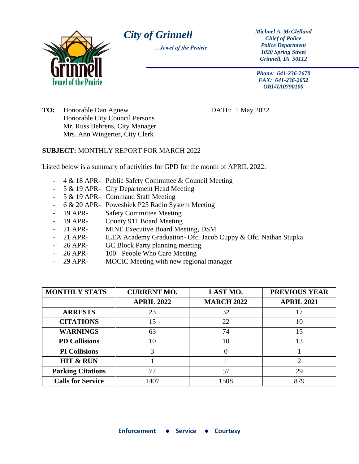

*City of Grinnell Michael A. McClelland* 

*…Jewel of the Prairie*

*Chief of Police Police Department 1020 Spring Street Grinnell, IA 50112*

*Phone: 641-236-2670 FAX: 641-236-2652 ORI#IA0790100*

**TO:** Honorable Dan Agnew DATE: 1 May 2022 Honorable City Council Persons Mr. Russ Behrens, City Manager Mrs. Ann Wingerter, City Clerk

## **SUBJECT:** MONTHLY REPORT FOR MARCH 2022

Listed below is a summary of activities for GPD for the month of APRIL 2022:

- 4 & 18 APR- Public Safety Committee & Council Meeting
- 5 & 19 APR- City Department Head Meeting
- 5 & 19 APR- Command Staff Meeting
- 6 & 20 APR- Poweshiek P25 Radio System Meeting
- 19 APR- Safety Committee Meeting
- 19 APR- County 911 Board Meeting
- 21 APR- MINE Executive Board Meeting, DSM
- 21 APR- ILEA Academy Graduation- Ofc. Jacob Cuppy & Ofc. Nathan Stupka
- 26 APR- GC Block Party planning meeting
- 26 APR- 100+ People Who Care Meeting
- 29 APR- MOCIC Meeting with new regional manager

| <b>MONTHLY STATS</b>     | <b>CURRENT MO.</b> | <b>LAST MO.</b>   | <b>PREVIOUS YEAR</b> |
|--------------------------|--------------------|-------------------|----------------------|
|                          | <b>APRIL 2022</b>  | <b>MARCH 2022</b> | <b>APRIL 2021</b>    |
| <b>ARRESTS</b>           | 23                 | 32                | 17                   |
| <b>CITATIONS</b>         | 15                 | 22                | 10                   |
| <b>WARNINGS</b>          | 63                 | 74                | 15                   |
| <b>PD Collisions</b>     | 10                 | 10                | 13                   |
| <b>PI</b> Collisions     | 3                  | $\mathbf{\Omega}$ |                      |
| <b>HIT &amp; RUN</b>     |                    |                   | ∍                    |
| <b>Parking Citations</b> | 77                 | 57                | 29                   |
| <b>Calls for Service</b> | 1407               | 1508              | 879                  |